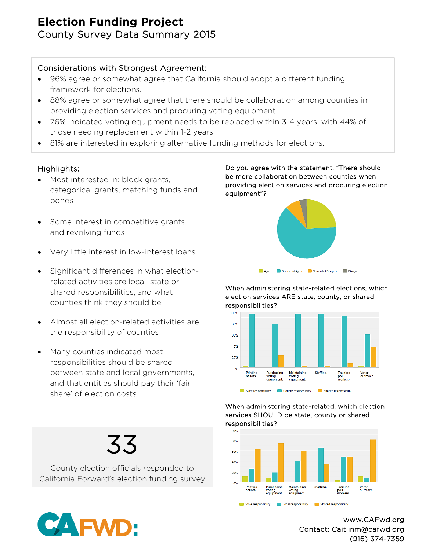# Election Funding Project

County Survey Data Summary 2015

# Considerations with Strongest Agreement:

- 96% agree or somewhat agree that California should adopt a different funding framework for elections.
- 88% agree or somewhat agree that there should be collaboration among counties in providing election services and procuring voting equipment.
- 76% indicated voting equipment needs to be replaced within 3-4 years, with 44% of those needing replacement within 1-2 years.
- 81% are interested in exploring alternative funding methods for elections.

# Highlights:

- Most interested in: block grants, categorical grants, matching funds and bonds
- Some interest in competitive grants and revolving funds
- Very little interest in low-interest loans
- Significant differences in what electionrelated activities are local, state or shared responsibilities, and what counties think they should be
- Almost all election-related activities are the responsibility of counties
- Many counties indicated most responsibilities should be shared between state and local governments, and that entities should pay their 'fair share' of election costs.

Do you agree with the statement, "There should be more collaboration between counties when providing election services and procuring election equipment"?



When administering state-related elections, which election services ARE state, county, or shared responsibilities?



#### When administering state-related, which election services SHOULD be state, county or shared responsibilities?



Local responsibility.

State responsibility.

www.CAFwd.org Contact: Caitlinm@cafwd.org (916) 374-7359

Shared responsibility



 $33$  County election officials responded to California Forward's election funding survey